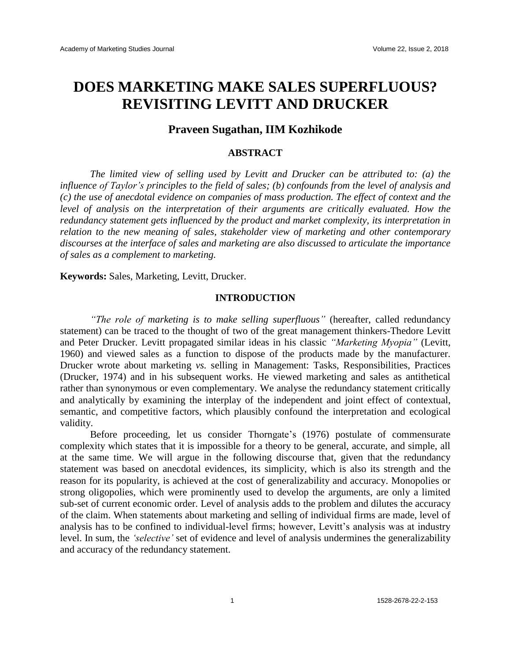# **DOES MARKETING MAKE SALES SUPERFLUOUS? REVISITING LEVITT AND DRUCKER**

## **Praveen Sugathan, IIM Kozhikode**

## **ABSTRACT**

*The limited view of selling used by Levitt and Drucker can be attributed to: (a) the influence of Taylor's principles to the field of sales; (b) confounds from the level of analysis and (c) the use of anecdotal evidence on companies of mass production. The effect of context and the level of analysis on the interpretation of their arguments are critically evaluated. How the redundancy statement gets influenced by the product and market complexity, its interpretation in relation to the new meaning of sales, stakeholder view of marketing and other contemporary discourses at the interface of sales and marketing are also discussed to articulate the importance of sales as a complement to marketing.*

**Keywords:** Sales, Marketing, Levitt, Drucker.

## **INTRODUCTION**

*"The role of marketing is to make selling superfluous"* (hereafter, called redundancy statement) can be traced to the thought of two of the great management thinkers-Thedore Levitt and Peter Drucker. Levitt propagated similar ideas in his classic *"Marketing Myopia"* (Levitt, 1960) and viewed sales as a function to dispose of the products made by the manufacturer. Drucker wrote about marketing *vs.* selling in Management: Tasks, Responsibilities, Practices (Drucker, 1974) and in his subsequent works. He viewed marketing and sales as antithetical rather than synonymous or even complementary. We analyse the redundancy statement critically and analytically by examining the interplay of the independent and joint effect of contextual, semantic, and competitive factors, which plausibly confound the interpretation and ecological validity.

Before proceeding, let us consider Thorngate's (1976) postulate of commensurate complexity which states that it is impossible for a theory to be general, accurate, and simple, all at the same time. We will argue in the following discourse that, given that the redundancy statement was based on anecdotal evidences, its simplicity, which is also its strength and the reason for its popularity, is achieved at the cost of generalizability and accuracy. Monopolies or strong oligopolies, which were prominently used to develop the arguments, are only a limited sub-set of current economic order. Level of analysis adds to the problem and dilutes the accuracy of the claim. When statements about marketing and selling of individual firms are made, level of analysis has to be confined to individual-level firms; however, Levitt's analysis was at industry level. In sum, the *'selective'* set of evidence and level of analysis undermines the generalizability and accuracy of the redundancy statement.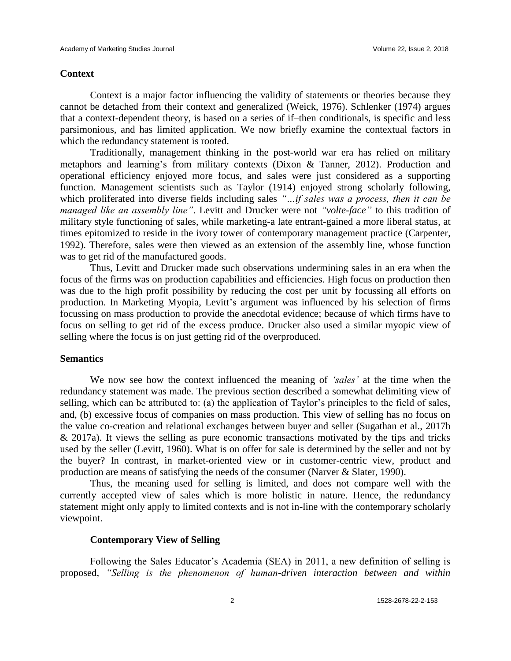## **Context**

Context is a major factor influencing the validity of statements or theories because they cannot be detached from their context and generalized (Weick, 1976). Schlenker (1974) argues that a context-dependent theory, is based on a series of if–then conditionals, is specific and less parsimonious, and has limited application. We now briefly examine the contextual factors in which the redundancy statement is rooted.

Traditionally, management thinking in the post-world war era has relied on military metaphors and learning's from military contexts (Dixon & Tanner, 2012). Production and operational efficiency enjoyed more focus, and sales were just considered as a supporting function. Management scientists such as Taylor (1914) enjoyed strong scholarly following, which proliferated into diverse fields including sales *"…if sales was a process, then it can be managed like an assembly line"*. Levitt and Drucker were not *"volte-face"* to this tradition of military style functioning of sales, while marketing-a late entrant-gained a more liberal status, at times epitomized to reside in the ivory tower of contemporary management practice (Carpenter, 1992). Therefore, sales were then viewed as an extension of the assembly line, whose function was to get rid of the manufactured goods.

Thus, Levitt and Drucker made such observations undermining sales in an era when the focus of the firms was on production capabilities and efficiencies. High focus on production then was due to the high profit possibility by reducing the cost per unit by focussing all efforts on production. In Marketing Myopia, Levitt's argument was influenced by his selection of firms focussing on mass production to provide the anecdotal evidence; because of which firms have to focus on selling to get rid of the excess produce. Drucker also used a similar myopic view of selling where the focus is on just getting rid of the overproduced.

## **Semantics**

We now see how the context influenced the meaning of *'sales'* at the time when the redundancy statement was made. The previous section described a somewhat delimiting view of selling, which can be attributed to: (a) the application of Taylor's principles to the field of sales, and, (b) excessive focus of companies on mass production. This view of selling has no focus on the value co-creation and relational exchanges between buyer and seller (Sugathan et al., 2017b & 2017a). It views the selling as pure economic transactions motivated by the tips and tricks used by the seller (Levitt, 1960). What is on offer for sale is determined by the seller and not by the buyer? In contrast, in market-oriented view or in customer-centric view, product and production are means of satisfying the needs of the consumer (Narver & Slater, 1990).

Thus, the meaning used for selling is limited, and does not compare well with the currently accepted view of sales which is more holistic in nature. Hence, the redundancy statement might only apply to limited contexts and is not in-line with the contemporary scholarly viewpoint.

#### **Contemporary View of Selling**

Following the Sales Educator's Academia (SEA) in 2011, a new definition of selling is proposed, *"Selling is the phenomenon of human-driven interaction between and within*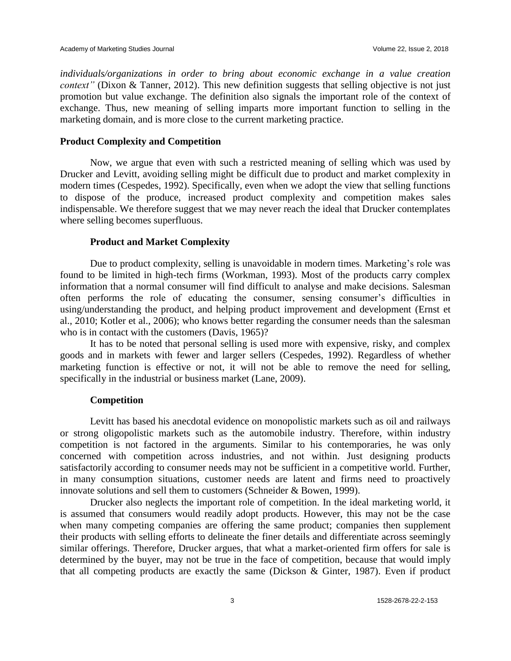*individuals/organizations in order to bring about economic exchange in a value creation context"* (Dixon & Tanner, 2012). This new definition suggests that selling objective is not just promotion but value exchange. The definition also signals the important role of the context of exchange. Thus, new meaning of selling imparts more important function to selling in the marketing domain, and is more close to the current marketing practice.

### **Product Complexity and Competition**

Now, we argue that even with such a restricted meaning of selling which was used by Drucker and Levitt, avoiding selling might be difficult due to product and market complexity in modern times (Cespedes, 1992). Specifically, even when we adopt the view that selling functions to dispose of the produce, increased product complexity and competition makes sales indispensable. We therefore suggest that we may never reach the ideal that Drucker contemplates where selling becomes superfluous.

## **Product and Market Complexity**

Due to product complexity, selling is unavoidable in modern times. Marketing's role was found to be limited in high-tech firms (Workman, 1993). Most of the products carry complex information that a normal consumer will find difficult to analyse and make decisions. Salesman often performs the role of educating the consumer, sensing consumer's difficulties in using/understanding the product, and helping product improvement and development (Ernst et al., 2010; Kotler et al., 2006); who knows better regarding the consumer needs than the salesman who is in contact with the customers (Davis, 1965)?

It has to be noted that personal selling is used more with expensive, risky, and complex goods and in markets with fewer and larger sellers (Cespedes, 1992). Regardless of whether marketing function is effective or not, it will not be able to remove the need for selling, specifically in the industrial or business market (Lane, 2009).

#### **Competition**

Levitt has based his anecdotal evidence on monopolistic markets such as oil and railways or strong oligopolistic markets such as the automobile industry. Therefore, within industry competition is not factored in the arguments. Similar to his contemporaries, he was only concerned with competition across industries, and not within. Just designing products satisfactorily according to consumer needs may not be sufficient in a competitive world. Further, in many consumption situations, customer needs are latent and firms need to proactively innovate solutions and sell them to customers (Schneider & Bowen, 1999).

Drucker also neglects the important role of competition. In the ideal marketing world, it is assumed that consumers would readily adopt products. However, this may not be the case when many competing companies are offering the same product; companies then supplement their products with selling efforts to delineate the finer details and differentiate across seemingly similar offerings. Therefore, Drucker argues, that what a market-oriented firm offers for sale is determined by the buyer, may not be true in the face of competition, because that would imply that all competing products are exactly the same (Dickson & Ginter, 1987). Even if product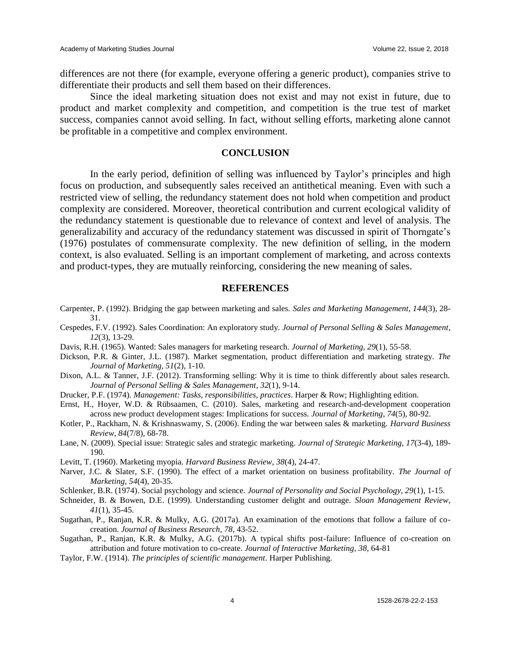differences are not there (for example, everyone offering a generic product), companies strive to differentiate their products and sell them based on their differences.

Since the ideal marketing situation does not exist and may not exist in future, due to product and market complexity and competition, and competition is the true test of market success, companies cannot avoid selling. In fact, without selling efforts, marketing alone cannot be profitable in a competitive and complex environment.

## **CONCLUSION**

In the early period, definition of selling was influenced by Taylor's principles and high focus on production, and subsequently sales received an antithetical meaning. Even with such a restricted view of selling, the redundancy statement does not hold when competition and product complexity are considered. Moreover, theoretical contribution and current ecological validity of the redundancy statement is questionable due to relevance of context and level of analysis. The generalizability and accuracy of the redundancy statement was discussed in spirit of Thorngate's (1976) postulates of commensurate complexity. The new definition of selling, in the modern context, is also evaluated. Selling is an important complement of marketing, and across contexts and product-types, they are mutually reinforcing, considering the new meaning of sales.

#### **REFERENCES**

- Carpenter, P. (1992). Bridging the gap between marketing and sales. *Sales and Marketing Management*, *144*(3), 28- 31.
- Cespedes, F.V. (1992). Sales Coordination: An exploratory study. *Journal of Personal Selling & Sales Management*, *12*(3), 13-29.
- Davis, R.H. (1965). Wanted: Sales managers for marketing research. *Journal of Marketing*, *29*(1), 55-58.
- Dickson, P.R. & Ginter, J.L. (1987). Market segmentation, product differentiation and marketing strategy. *The Journal of Marketing, 51*(2), 1-10.
- Dixon, A.L. & Tanner, J.F. (2012). Transforming selling: Why it is time to think differently about sales research. *Journal of Personal Selling & Sales Management*, *32*(1), 9-14.
- Drucker, P.F. (1974). *Management: Tasks, responsibilities, practices*. Harper & Row; Highlighting edition.
- Ernst, H., Hoyer, W.D. & Rübsaamen, C. (2010). Sales, marketing and research-and-development cooperation across new product development stages: Implications for success. *Journal of Marketing*, *74*(5), 80-92.
- Kotler, P., Rackham, N. & Krishnaswamy, S. (2006). Ending the war between sales & marketing. *Harvard Business Review*, *84*(7/8), 68-78.
- Lane, N. (2009). Special issue: Strategic sales and strategic marketing. *Journal of Strategic Marketing*, *17*(3-4), 189- 190.
- Levitt, T. (1960). Marketing myopia. *Harvard Business Review*, *38*(4), 24-47.
- Narver, J.C. & Slater, S.F. (1990). The effect of a market orientation on business profitability. *The Journal of Marketing*, *54*(4), 20-35.
- Schlenker, B.R. (1974). Social psychology and science. *Journal of Personality and Social Psychology, 29*(1), 1-15.
- Schneider, B. & Bowen, D.E. (1999). Understanding customer delight and outrage. *Sloan Management Review*, *41*(1), 35-45.
- Sugathan, P., Ranjan, K.R. & Mulky, A.G. (2017a). An examination of the emotions that follow a failure of cocreation. *Journal of Business Research*, *78*, 43-52.
- Sugathan, P., Ranjan, K.R. & Mulky, A.G. (2017b). A typical shifts post-failure: Influence of co-creation on attribution and future motivation to co-create. *Journal of Interactive Marketing*, *38*, 64-81
- Taylor, F.W. (1914). *The principles of scientific management*. Harper Publishing.